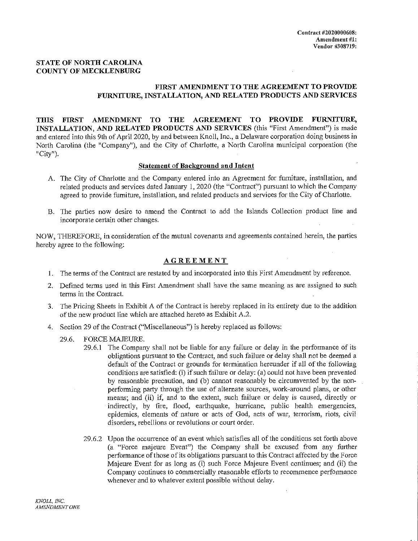# STATE OF NORTH CAROLINA COUNTY OF MECKLENBURG

# FIRST AMENDMENT TO THE AGREEMENT TO PROVIDE FURNITURE, INSTALLATION, AND RELATED PRODUCTS AND SERVICES

THIS FIRST AMENDMENT TO THE AGREEMENT TO PROVIDE FURNITURE, INSTALLATION, AND RELATED PRODUCTS AND SERVICES (this "First Amendment") is made and entered into this 9th of April 2020, by and between Knoll, Inc., a Delaware corporation doing business in North Carolina (the "Company"), and the City of Charlotte, a North Carolina municipal corporation (the "City").

# Statement of Background and Intent

- A. The City of Charlotte and the Company entered into an Agreement for furniture, installation, and related products and services dated January 1, 2020 (the "Contract") pursuant to which the Company agreed to provide furniture, installation, and related products and services for the City of Charlotte.
- B. The parties now desire to amend the Contract to add the Islands Collection product line and incorporate certain other changes.

NOW, THEREFORE, in consideration of the mutual covenants and agreements contained herein, the parties hereby agree to the following:

# AGREEMENT

- 1. The terms of the Contract are restated by and incorporated into this First Amendment by reference.
- 2. Defined terms used in this First Amendment shall have the same meaning as are assigned to such terms in the Contract.
- 3. The Pricing Sheets in Exhibit A of the Contract is hereby replaced in its entirety due to the addition of the new product line which are attached hereto as Exhibit A.2.
- 4. Section 29 of the Contract ("Miscellaneous") is hereby replaced as follows:
	- 29.6. FORCE MAJEURE.
		- 29.6.1 The Company shall not be liable for any failure or delay in the performance of its obligations pursuant to the Contract, and such failure or delay shall not be deemed a default of the Contract or grounds for termination hereunder if all of the following conditions are satisfied: (i) if such failure or delay: (a) could not have been prevented by reasonable precaution, and (b) cannot reasonably be circumvented by the nonperforming party through the use of alternate sources, work-around plans, or other means; and (ii) if, and to the extent, such failure or delay is caused, directly or indirectly, by fire, flood, earthquake, hurricane, public health emergencies, epidemics, elements of nature or acts of God, acts of war, terrorism, riots, civil disorders, rebellions or revolutions or court order.
		- 29.6.2 Upon the occurrence of an event which satisfies all of the conditions set forth above (a "Force majeure Event") the Company shall be excused from any further performance of those of its obligations pursuant to this Contract affected by the Force Majeure Event for as long as (i) such Force Majeure Event continues; and (ii) the Company continues to commercially reasonable efforts to recommence performance whenever and to whatever extent possible without delay.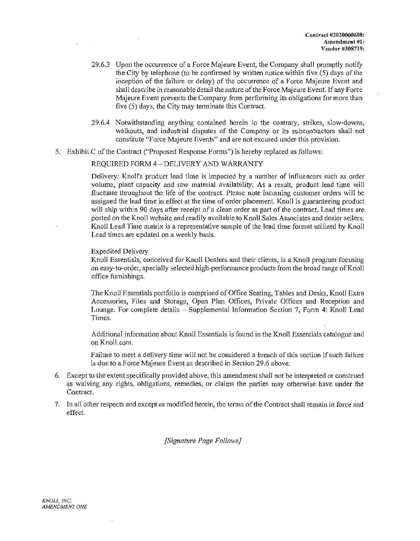- 29.6.3 Upon the occurrence of a Force Majeure Event, the Company shall promptly notify the City by telephone (to be confirmed by written notice within five (5) days of the inception of the failure or delay) of the occurrence of a Force Majeure Event and shall describe in reasonable detail the nature of the Force Majeure Event. If any Force Majeure Event prevents the Company from performing its obligations for more than five (5) days, the City may terminate this Contract.
- 29.6.4 Notwithstanding anything contained herein to the contrary, strikes, slow-downs, walkouts, and industrial disputes of the Company or its subcontractors shall not constitute "Force Majeure Events" and are not excused under this provision.
- 5. Exhibit C of the Contract ("Proposed Response Forms") is hereby replaced as follows:

# REQUIRED FORM 4 — DELIVERY AND WARRANTY

Delivery: Knoll's product lead time is impacted by a number of influencers such as order volume, plant capacity and raw material availability. As a result, product lead time will fluctuate throughout the life of the contract. Please note incoming customer orders will be assigned the lead time in effect at the time of order placement. Knoll is guaranteeing product will ship within 90 days after receipt of a clean order as part of the contract. Lead times are posted on the Knoll website and readily available to Knoll Sales Associates and dealer sellers. Knoll Lead Time matrix is a representative sample of the lead time format utilized by Knoll Lead times are updated on a weekly basis.

## Expedited Delivery

Knoll Essentials, conceived for Knoll Dealers and their clients, is a Knoll program focusing on easy-to-order, specially selected high-performance products from the broad range of Knoll office furnishings.

The Knoll Essentials portfolio is comprised of Office Seating, Tables and Desks, Knoll Extra Accessories, Files and Storage, Open Plan Offices, Private Offices and Reception and Lounge. For complete details — Supplemental Information Section 7, Form 4: Knoll Lead Times.

Additional information about Knoll Essentials is found in the Knoll Essentials catalogue and on Knoll.com.

Failure to meet a delivery time will not be considered a breach of this section if such failure is due to a Force Majeure Event as described in Section 29.6 above.

- 6. Except to the extent specifically provided above, this amendment shall not be interpreted or construed as waiving any rights, obligations, remedies, or claims the parties may otherwise have under the Contract.
- 7. In all other respects and except as modified herein, the terms of the Contract shall remain in force and effect.

*[Signature Page Follows]*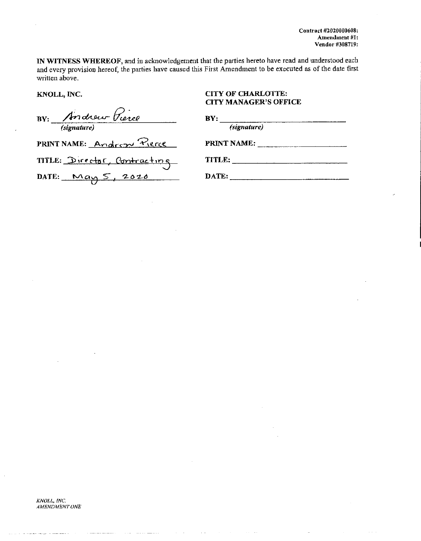Contract #2020000608: Amendment #1: Vendor #308719:

IN WITNESS WHEREOF, and in acknowledgement that the parties hereto have read and understood each and every provision hereof, the parties have caused this First Amendment to be executed as of the date first written above.

KNOLL, INC.

BY: Andrew Pierce

PRINT NAME: Andrew Pierce

# **CITY OF CHARLOTTE: CITY MANAGER'S OFFICE**

| BY:         |  |
|-------------|--|
| (signature) |  |
| PRINT NAME: |  |
| TITLE:      |  |

TITLE: Director, Contracting DATE:  $mag 5, 2020$ 

DATE: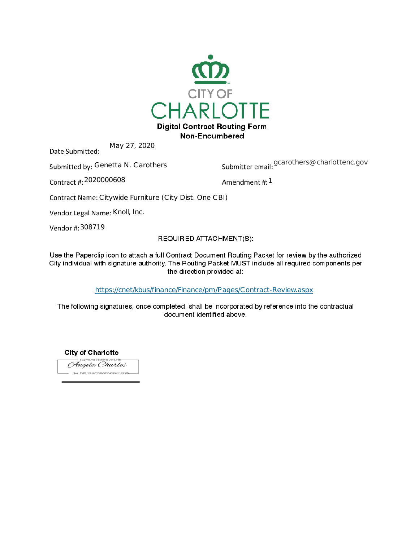

Non-Encumbered

May 27, 2020 Date Submitted:

Submitted by: Genetta N. Carothers

Submitter email: <sup>gcarothers@charlottenc.gov</sup>

Contract #: 2020000608

Amendment #: 1

Contract Name: Citywide Furniture (City Dist. One CBI)

Vendor Legal Name: Knoll, Inc.

Vendor #: 308719

# REQUIRED ATTACHMENT(S):

Use the Paperclip icon to attach a full Contract Document Routing Packet for review by the authorized City individual with signature authority. The Routing Packet MUST include all required components per the direction provided at:

<https://cnet/kbus/finance/Finance/pm/Pages/Contract-Review.aspx>

The following signatures, once completed, shall be incorporated by reference into the contractual document identified above.

**City of Charlotte** Angela Charles  $-$  Key: f66f2b82106208b08604836a6d96b8\$4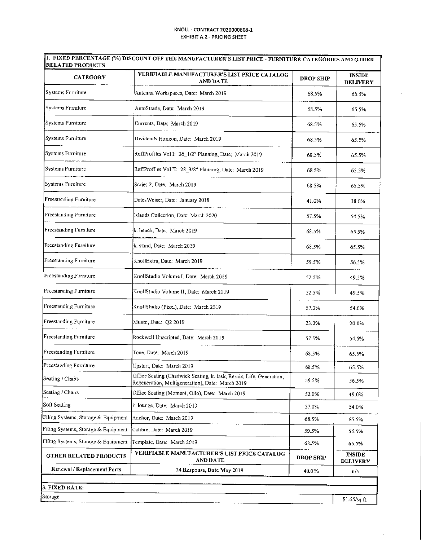÷.

 $\bar{\tau}$ 

| <b>CATEGORY</b>                     | VERIFIABLE MANUFACTURER'S LIST PRICE CATALOG<br><b>AND DATE</b>                                                         | <b>DROP SHIP</b> | <b>INSIDE</b><br><b>DELIVERY</b> |  |  |
|-------------------------------------|-------------------------------------------------------------------------------------------------------------------------|------------------|----------------------------------|--|--|
| Systems Furniture                   | Antenna Workspaces, Date: March 2019                                                                                    | 63.5%            | 65.5%                            |  |  |
| Systems Furniture                   | AutoStrada, Date: March 2019                                                                                            | 68.5%            | 65.5%                            |  |  |
| Systems Furniture                   | Currents, Date: March 2019                                                                                              | 68.5%            | 65.5%                            |  |  |
| Systems Furniture                   | Dividends Horizon, Date: March 2019                                                                                     | 68.5%            | 65.5%                            |  |  |
| Systems Furniture                   | ReffProfiles Vol I: 26_1/2" Planning, Date: March 2019                                                                  | 68.5%            | 65.5%                            |  |  |
| Systems Furniture                   | ReffProfiles Vol II: 28_3/8" Planning, Date: March 2019                                                                 | 68.5%            | 65.5%                            |  |  |
| Systems Furniture                   | Series 2, Date: March 2019                                                                                              | 68.5%            | 65.5%                            |  |  |
| Freestanding Furniture              | Dates Weiser, Date: January 2018                                                                                        | 41.0%            | 38.0%                            |  |  |
| Freestanding Furniture              | slands Collection, Date: March 2020.                                                                                    | 57.5%            | 54.5%                            |  |  |
| Freestanding Furniture              | k. bench, Date: March 2019                                                                                              | 68.5%            | 65.5%                            |  |  |
| Freestanding Furniture              | k. stand, Date: March 2019                                                                                              | 68.5%            | 65.5%                            |  |  |
| Freestanding Furniture              | KnollExtra, Date: March 2019                                                                                            | 59.5%            | 56.5%                            |  |  |
| Freestanding Furniture              | KnollStudio Volume I, Date: March 2019                                                                                  | 52.5%            | 49.5%                            |  |  |
| <b>Freestanding Furniture</b>       | KnollStudio Volume II, Date: March 2019                                                                                 | 52.5%            | 49.5%                            |  |  |
| Freestanding Furniture              | KnollStudio (Pixel), Date: March 2019                                                                                   | 57.0%            | 54.0%                            |  |  |
| Freestanding Furniture              | Muuto, Date: Q2 2019                                                                                                    | 23.0%            | 20.0%                            |  |  |
| Freestanding Furniture              | Rockwell Unscripted, Date: March 2019                                                                                   | 57.5%            | 54.5%                            |  |  |
| Freestanding Furniture              | Tone, Date: March 2019                                                                                                  | 68.5%            | 65.5%                            |  |  |
| Freestanding Furniture              | Upstart, Date: March 2019                                                                                               | 68.5%            | 65.5%                            |  |  |
| Seating / Chairs                    | Office Seating (Chadwick Seating, k. task, Remix, Life, Generation,<br>Regeneration, Multigeneration), Date: March 2019 | 59.5%            | 56.5%                            |  |  |
| Seating / Chairs                    | Office Seating (Moment, Ollo), Date: March 2019                                                                         | 52.0%            | 49.0%                            |  |  |
| Soft Seating                        | k. lounge, Date: March 2019                                                                                             | 57.0%            | 54.0%                            |  |  |
| Filing Systems, Storage & Equipment | Anchor, Date: March 2019                                                                                                | 68.5%            | 65.5%                            |  |  |
| Filing Systems, Storage & Equipment | Calibre, Date: March 2019                                                                                               | 59.5%            | 56.5%                            |  |  |
| Filing Systems, Storage & Equipment | Template, Date: March 2019                                                                                              | 68.5%            | 65.5%                            |  |  |
| <b>OTHER RELATED PRODUCTS</b>       | VERIFIABLE MANUFACTURER'S LIST PRICE CATALOG<br>AND DATE                                                                | <b>DROP SHIP</b> | <b>INSIDE</b><br><b>DELIVERY</b> |  |  |
| Renewal / Replacement Parts         | 24 Response, Date May 2019                                                                                              | 40.0%            | n/a                              |  |  |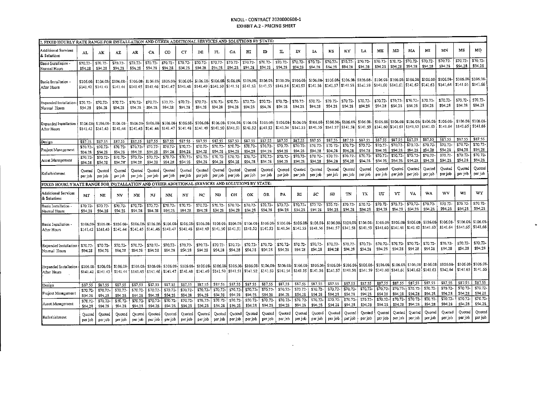### KNOLL - CONTRACT 2020000608-1 **EXHIBIT A.2 - PRICING SHEET**

| AI.                   | AК                            | ΑZ                                                    | AR.                                                                           | CA                                        | CO                                                                   | $_{\rm CT}$                                                                                                                               | DE                                                                 | FL                                                     | GA                                                                                                                                                                          | нr                                                                                             | $\mathbf{D}$                                                                                                                                                       | $\mathbf n$                                                                                                                                                                                                                                                                                                                                     | IN                                                                | IA.                                                                                                           | KS                                                                                                                                                         | ΚY                                                                                                                | LA                                        | ME                                                                                                                                                                                                                                           | MD                                                                                                                  | MA                                        | MЦ                                                                                                                                                                                     | <b>MN</b>                                                                                                                                                                             | MS                                                                                                                                                                                                                                                                                                                                                                                 | MО                                                                                                                                                                              |
|-----------------------|-------------------------------|-------------------------------------------------------|-------------------------------------------------------------------------------|-------------------------------------------|----------------------------------------------------------------------|-------------------------------------------------------------------------------------------------------------------------------------------|--------------------------------------------------------------------|--------------------------------------------------------|-----------------------------------------------------------------------------------------------------------------------------------------------------------------------------|------------------------------------------------------------------------------------------------|--------------------------------------------------------------------------------------------------------------------------------------------------------------------|-------------------------------------------------------------------------------------------------------------------------------------------------------------------------------------------------------------------------------------------------------------------------------------------------------------------------------------------------|-------------------------------------------------------------------|---------------------------------------------------------------------------------------------------------------|------------------------------------------------------------------------------------------------------------------------------------------------------------|-------------------------------------------------------------------------------------------------------------------|-------------------------------------------|----------------------------------------------------------------------------------------------------------------------------------------------------------------------------------------------------------------------------------------------|---------------------------------------------------------------------------------------------------------------------|-------------------------------------------|----------------------------------------------------------------------------------------------------------------------------------------------------------------------------------------|---------------------------------------------------------------------------------------------------------------------------------------------------------------------------------------|------------------------------------------------------------------------------------------------------------------------------------------------------------------------------------------------------------------------------------------------------------------------------------------------------------------------------------------------------------------------------------|---------------------------------------------------------------------------------------------------------------------------------------------------------------------------------|
| \$70.72<br>\$94.28    | \$70.72-<br>\$94.28           | \$70.72-<br>\$94.28                                   | \$70.72-<br>\$94.28                                                           | \$70.72-<br>\$94.28                       | \$70.72<br>\$94.28                                                   | \$70.72<br>\$94.28                                                                                                                        | \$70.72<br>\$94.28                                                 | \$70.72-<br>\$94.28                                    | \$70.72-<br>\$94.28                                                                                                                                                         | \$70.72-<br>\$94.28                                                                            | \$70.72<br>\$94.28                                                                                                                                                 | \$70.72<br>\$94.23                                                                                                                                                                                                                                                                                                                              | \$70.72<br>\$94.28                                                | \$70.72<br>\$94.28                                                                                            | \$70.72-<br>\$94.28                                                                                                                                        | \$70.72<br>\$94.28                                                                                                | \$70.72<br>\$94.28                        | \$94.28                                                                                                                                                                                                                                      | \$94.28                                                                                                             | \$94.28                                   | \$94.28                                                                                                                                                                                | \$94.28                                                                                                                                                                               | \$94.28                                                                                                                                                                                                                                                                                                                                                                            | \$70.72<br>\$94,28                                                                                                                                                              |
| \$106.08-<br>\$141.42 | \$106.08<br>\$141.43          | \$141.44                                              | \$141.45                                                                      |                                           |                                                                      |                                                                                                                                           |                                                                    |                                                        |                                                                                                                                                                             |                                                                                                |                                                                                                                                                                    |                                                                                                                                                                                                                                                                                                                                                 |                                                                   |                                                                                                               |                                                                                                                                                            |                                                                                                                   |                                           |                                                                                                                                                                                                                                              |                                                                                                                     |                                           |                                                                                                                                                                                        | \$106.08-<br>\$141.64                                                                                                                                                                 | \$106.08<br>\$141.65                                                                                                                                                                                                                                                                                                                                                               | \$106.08<br>\$141.66                                                                                                                                                            |
| \$70.72-<br>\$94.28   | \$70.72<br>\$94.28            | \$70.72-<br>\$94.28                                   | \$70.72<br>\$94.28                                                            | \$70.72<br>\$94.28                        | \$70.72<br>\$94.28                                                   | \$70.72-<br>S94.28                                                                                                                        | \$70.72-<br>\$94.28                                                | \$70.72<br>\$94,28                                     | \$70.72-<br>\$94.28                                                                                                                                                         | \$70.72<br>\$94.28                                                                             | \$70.72<br>\$94.28                                                                                                                                                 | \$70.72-<br>\$94.28                                                                                                                                                                                                                                                                                                                             | \$70.72<br>\$94.28                                                | \$70.72-<br>\$94.28                                                                                           | \$70.72<br>\$94.28                                                                                                                                         | \$70.72<br>\$94.28                                                                                                | \$70,72-<br>\$94.28                       | \$70.72-<br>\$94.28                                                                                                                                                                                                                          | \$70.72<br>\$94.28                                                                                                  | \$70.72-<br>\$94.28                       | \$70.72-<br>\$94.28                                                                                                                                                                    | \$70.72<br>\$94.28                                                                                                                                                                    | \$70.72<br>\$94.28                                                                                                                                                                                                                                                                                                                                                                 | \$70.72<br>\$94.28                                                                                                                                                              |
| \$106.08<br>5141.42   | \$106.08<br>\$141.43          | \$106.08-<br>\$141.44                                 |                                                                               |                                           | \$106.08                                                             | \$106.08                                                                                                                                  |                                                                    |                                                        |                                                                                                                                                                             |                                                                                                |                                                                                                                                                                    |                                                                                                                                                                                                                                                                                                                                                 |                                                                   |                                                                                                               |                                                                                                                                                            |                                                                                                                   |                                           |                                                                                                                                                                                                                                              |                                                                                                                     |                                           |                                                                                                                                                                                        | \$141.64                                                                                                                                                                              |                                                                                                                                                                                                                                                                                                                                                                                    |                                                                                                                                                                                 |
| \$87.55               | \$87.55                       | \$87.55                                               | \$87.55                                                                       | \$87.55                                   | \$87.55                                                              | \$87.55                                                                                                                                   | \$87.55                                                            | \$87.55                                                | \$87.55                                                                                                                                                                     | \$87.55                                                                                        | \$87.55                                                                                                                                                            | \$87.55                                                                                                                                                                                                                                                                                                                                         | \$87.55                                                           | \$87.55                                                                                                       | \$87.55                                                                                                                                                    | \$87.55                                                                                                           | \$87.55                                   | \$87.55                                                                                                                                                                                                                                      |                                                                                                                     |                                           |                                                                                                                                                                                        |                                                                                                                                                                                       |                                                                                                                                                                                                                                                                                                                                                                                    | \$87.55                                                                                                                                                                         |
| \$70.72-              | \$70.72                       | $$70.72-$                                             | \$70.72                                                                       | \$70.72-                                  | \$70.72                                                              | \$70.72                                                                                                                                   | \$70.72                                                            | \$70.72                                                |                                                                                                                                                                             |                                                                                                |                                                                                                                                                                    |                                                                                                                                                                                                                                                                                                                                                 |                                                                   |                                                                                                               |                                                                                                                                                            |                                                                                                                   |                                           |                                                                                                                                                                                                                                              |                                                                                                                     |                                           |                                                                                                                                                                                        |                                                                                                                                                                                       |                                                                                                                                                                                                                                                                                                                                                                                    | \$70.72-<br>\$94.28                                                                                                                                                             |
|                       |                               |                                                       |                                                                               |                                           |                                                                      |                                                                                                                                           |                                                                    |                                                        |                                                                                                                                                                             |                                                                                                |                                                                                                                                                                    |                                                                                                                                                                                                                                                                                                                                                 |                                                                   | \$70.72-                                                                                                      | \$70.72                                                                                                                                                    |                                                                                                                   | \$70.72                                   | \$70,72-                                                                                                                                                                                                                                     |                                                                                                                     | \$70.72-                                  | \$70.72                                                                                                                                                                                | \$70.72-                                                                                                                                                                              | \$70.72                                                                                                                                                                                                                                                                                                                                                                            | \$70,72-                                                                                                                                                                        |
| \$94.28               | \$94.28                       | \$94.28                                               | \$94.28                                                                       | \$94.28                                   | \$94.28                                                              | \$94.28                                                                                                                                   | \$94.28                                                            | \$94,28                                                | \$94.28                                                                                                                                                                     | \$94.28                                                                                        | \$94.28                                                                                                                                                            | \$94.28                                                                                                                                                                                                                                                                                                                                         | \$94,28                                                           | \$94.28                                                                                                       | \$94.28                                                                                                                                                    | \$94.28                                                                                                           | \$94.28                                   | \$94.28                                                                                                                                                                                                                                      | 594.28                                                                                                              | \$94.28                                   | \$94.28                                                                                                                                                                                | \$94.28                                                                                                                                                                               | \$94.28                                                                                                                                                                                                                                                                                                                                                                            | \$94.28                                                                                                                                                                         |
| Ouoted<br>per job     | Ouoted<br>per job             | Quoted<br>per job                                     | Ouoted<br>per job                                                             | Ouoted<br>per job                         | Ouoted<br>per job                                                    | Ouoted<br>per job                                                                                                                         | Ouoted<br>per job                                                  | Quoted<br>per job                                      | Ouoted<br>per job                                                                                                                                                           | Ouoted<br>per job                                                                              | Quoted<br>per job                                                                                                                                                  | Quoted<br>per job                                                                                                                                                                                                                                                                                                                               | Quoted<br>per job                                                 | Quoted<br>ner iob                                                                                             | Quoted<br>per job                                                                                                                                          | Quoted<br>per job                                                                                                 | Quoted<br>per job                         | Ouoted<br>per job                                                                                                                                                                                                                            | per job                                                                                                             | Ouoted<br>per job                         | Ouoted<br>per job                                                                                                                                                                      | Ouoted<br>per job                                                                                                                                                                     | Quoted<br>per job                                                                                                                                                                                                                                                                                                                                                                  | Quoted<br>per job                                                                                                                                                               |
|                       |                               |                                                       |                                                                               |                                           |                                                                      |                                                                                                                                           |                                                                    |                                                        |                                                                                                                                                                             |                                                                                                |                                                                                                                                                                    |                                                                                                                                                                                                                                                                                                                                                 |                                                                   |                                                                                                               |                                                                                                                                                            |                                                                                                                   |                                           |                                                                                                                                                                                                                                              |                                                                                                                     |                                           |                                                                                                                                                                                        |                                                                                                                                                                                       |                                                                                                                                                                                                                                                                                                                                                                                    |                                                                                                                                                                                 |
| MT                    | NE.                           | NV                                                    | NH                                                                            | NJ                                        | NM                                                                   | NY                                                                                                                                        | NC.                                                                | ND                                                     | OН                                                                                                                                                                          | OК                                                                                             | 0R                                                                                                                                                                 | PA                                                                                                                                                                                                                                                                                                                                              | RI                                                                | SC.                                                                                                           | SD                                                                                                                                                         | ΥN                                                                                                                | <b>TX</b>                                 | UT                                                                                                                                                                                                                                           | VT                                                                                                                  | VA                                        | VA.                                                                                                                                                                                    | WV                                                                                                                                                                                    | WI                                                                                                                                                                                                                                                                                                                                                                                 | wy                                                                                                                                                                              |
| \$70.72               | \$70.72                       | \$70.72                                               | \$70.72                                                                       | \$70.72-                                  | \$70.72                                                              | \$70.72                                                                                                                                   | \$70,72-                                                           | \$70.72                                                | \$70.72-                                                                                                                                                                    | \$70.72-                                                                                       | \$70.72-                                                                                                                                                           | \$70.72                                                                                                                                                                                                                                                                                                                                         | \$70.72-                                                          | \$70.72                                                                                                       | \$70.72-                                                                                                                                                   |                                                                                                                   |                                           |                                                                                                                                                                                                                                              |                                                                                                                     |                                           |                                                                                                                                                                                        |                                                                                                                                                                                       |                                                                                                                                                                                                                                                                                                                                                                                    | \$70.72-<br>\$94.28                                                                                                                                                             |
| \$106.08<br>\$141.42  | \$141.43                      | \$106.08<br>\$141.44                                  |                                                                               |                                           |                                                                      |                                                                                                                                           |                                                                    |                                                        |                                                                                                                                                                             |                                                                                                | \$106.08                                                                                                                                                           |                                                                                                                                                                                                                                                                                                                                                 |                                                                   |                                                                                                               |                                                                                                                                                            |                                                                                                                   |                                           |                                                                                                                                                                                                                                              |                                                                                                                     |                                           |                                                                                                                                                                                        | \$141.64                                                                                                                                                                              |                                                                                                                                                                                                                                                                                                                                                                                    | \$106.08<br>\$141,66                                                                                                                                                            |
| \$70.72-<br>\$94.28   | \$70.72-<br>\$94.28           | \$70.72-<br>\$94.28                                   | \$70.72<br>\$94.28                                                            | \$70.72-<br>\$94.28                       | \$70.72<br>\$94.28                                                   | \$70.72<br>\$94.28                                                                                                                        | \$70.72-<br>\$94.28                                                | \$70.72-<br>\$94.28                                    | \$70.72                                                                                                                                                                     | $$70.72-$<br>\$94.28                                                                           | \$70,72<br>\$94.28                                                                                                                                                 | $$70.72-$<br>\$94.28                                                                                                                                                                                                                                                                                                                            | \$70.72-<br>\$94.28                                               | \$70.72<br>\$94.28                                                                                            | \$70.72-<br>\$94.28                                                                                                                                        | \$70,72-<br>\$94.28                                                                                               | $$70.72-$<br>\$94.28                      | \$70.72-<br>\$94.28                                                                                                                                                                                                                          |                                                                                                                     |                                           | \$70.72<br>\$94.28                                                                                                                                                                     | \$70.72<br>\$94.28                                                                                                                                                                    | \$70.72<br>\$94.28                                                                                                                                                                                                                                                                                                                                                                 | \$70.72-<br>\$94.28                                                                                                                                                             |
|                       |                               | \$106.08                                              |                                                                               |                                           |                                                                      |                                                                                                                                           |                                                                    |                                                        |                                                                                                                                                                             |                                                                                                |                                                                                                                                                                    |                                                                                                                                                                                                                                                                                                                                                 |                                                                   |                                                                                                               |                                                                                                                                                            |                                                                                                                   |                                           |                                                                                                                                                                                                                                              |                                                                                                                     |                                           |                                                                                                                                                                                        | \$106.08<br>\$141.64                                                                                                                                                                  |                                                                                                                                                                                                                                                                                                                                                                                    | \$106.08<br>\$141.66                                                                                                                                                            |
| \$87.55               | \$87.55                       | \$87.55                                               | \$87.55                                                                       | \$87.55                                   | \$87.55                                                              | \$87.55                                                                                                                                   | \$87.55                                                            | \$87.55                                                | \$87.55                                                                                                                                                                     | \$87.55                                                                                        | \$87.55                                                                                                                                                            | \$87,55                                                                                                                                                                                                                                                                                                                                         | \$87.55                                                           | \$87,55                                                                                                       | \$87.55                                                                                                                                                    | \$87.55                                                                                                           | \$87.55                                   | \$87.55                                                                                                                                                                                                                                      | \$87.55                                                                                                             | \$87.55                                   | \$87,55<br>\$70.72                                                                                                                                                                     | \$70.72-                                                                                                                                                                              | \$70.72-                                                                                                                                                                                                                                                                                                                                                                           | \$87.55<br>\$70.72-                                                                                                                                                             |
|                       |                               | \$70.72                                               | \$70.72                                                                       | \$70.72-                                  | \$70,72                                                              | \$70.72                                                                                                                                   | \$70.72-                                                           | \$70.72                                                | \$70.72                                                                                                                                                                     | \$70.72-                                                                                       | \$70,72                                                                                                                                                            | \$70.72-                                                                                                                                                                                                                                                                                                                                        | \$70,72-                                                          | \$70.72-                                                                                                      | \$70.72-                                                                                                                                                   | \$70.72-                                                                                                          | \$70.72-                                  | \$70,72-                                                                                                                                                                                                                                     | \$70.72                                                                                                             | \$70.72                                   |                                                                                                                                                                                        |                                                                                                                                                                                       |                                                                                                                                                                                                                                                                                                                                                                                    | \$94.28                                                                                                                                                                         |
| \$70.72               | \$70.72-                      |                                                       |                                                                               |                                           |                                                                      |                                                                                                                                           |                                                                    |                                                        |                                                                                                                                                                             |                                                                                                |                                                                                                                                                                    |                                                                                                                                                                                                                                                                                                                                                 |                                                                   |                                                                                                               |                                                                                                                                                            |                                                                                                                   |                                           |                                                                                                                                                                                                                                              |                                                                                                                     | \$94.28                                   | \$94.28                                                                                                                                                                                | \$94.28                                                                                                                                                                               | \$94.28                                                                                                                                                                                                                                                                                                                                                                            |                                                                                                                                                                                 |
| \$94.28<br>\$70.72    | \$94.28<br>\$70,72-           | \$94.28<br>\$70.72                                    | \$94.28<br>\$70.72<br>\$94.28                                                 | \$94.28<br>$$70.72-$<br>\$94.28           | \$94.28<br>\$70.72<br>\$94.28                                        | \$94,28<br>\$70.72<br>\$94.28                                                                                                             | \$94.28<br>\$70.72-<br>\$94.28                                     | \$94.28<br>$570.72 -$<br>\$94.28                       | \$94.28<br>\$70.72<br>\$94.28                                                                                                                                               | \$94.28<br>\$70.72-<br>\$94.28                                                                 | S94.28<br>\$70.72<br>\$94.28                                                                                                                                       | \$94.28<br>\$70.72-<br>\$94.28                                                                                                                                                                                                                                                                                                                  | \$94.28<br>\$70.72-<br>\$94.28                                    | \$94.28<br>\$70.72-<br>\$94.28                                                                                | \$94.28<br>\$70.72-<br>\$94.28                                                                                                                             | \$94.28<br>\$70.72<br>\$94.28                                                                                     | \$94.28<br>$S70.72-$<br>\$94.28           | \$94.28<br>\$70.72<br>\$94.28                                                                                                                                                                                                                | \$94.28<br>\$70.72-<br>\$94.28                                                                                      | \$70.72<br>\$94,28                        | \$70.72-<br>\$94.28                                                                                                                                                                    | \$70.72<br>\$94,28                                                                                                                                                                    | \$70.72-<br>\$94.28                                                                                                                                                                                                                                                                                                                                                                | \$70.72-<br>\$94,28                                                                                                                                                             |
|                       | \$94.28<br>\$70.72<br>\$94.28 | \$94.28<br>\$70.72<br>\$94.28<br>\$106.08<br>\$141.42 | \$106.08<br>\$94.28<br>\$70.72<br>\$94.28<br>\$106.08<br>\$106.08<br>\$141.43 | \$94.28<br>\$70.72<br>\$94.28<br>\$141,44 | \$106.08<br>\$94.28<br>\$70.72-<br>\$94.28<br>\$106.03<br>  \$141.45 | $$141.46 \times 141.47$<br>\$106.08<br>  \$141.45   \$141.46   \$141.47<br>\$94.28<br>\$70.72<br>\$94.28<br>\$106.08<br>\$141.46 \$141.47 | \$141.48<br>\$141.48<br>\$94.28<br>\$70.72<br>\$94.28<br>\$106.08- | \$94.28<br>\$70.72-<br>\$94.28<br>\$106.08<br>\$141.48 | \$106.08<br>\$94.28<br>\$70.72<br>\$94.28<br>\$106.08<br>\$141.49<br>\$106.08 \$106.08 \$106.08 \$106.08 \$106.08<br>  \$141.45   \$141.46   \$141.47   \$141.48   \$141.49 | $$141.49$ $$141.50$ $$141.51$<br>\$70.72<br>\$94.28<br>\$70,72<br>\$94.28<br>\$141.50 \$141.51 | \$106.08 \$106.08 \$106.08 \$106.08 \$106.08 \$106.08 \$106.08<br>$$70.72-$<br>\$94.28<br>\$70.72-<br>\$94.28<br>\$106.08 \$106.08<br>\$94.28<br>\$106.08 \$106.08 | 2. FIXED HOURLY RATE RANGE FOR INSTALLATION AND OTHER ADDITIONAL SERVICES AND SOLUTIONS BY STATE:<br>\$106,084 \$106.08<br>  \$141.52   \$141.53 <sup> </sup><br>\$70.72<br>\$94.28<br>\$70.72<br>FIXED HOURLY RATE RANGE FOR INSTALLATION AND OTHER ADDITIONAL SERVICES AND SOLUTIONS BY STATE:<br>\$94.28<br>\$106.08-<br>$$141,52$ $$141.53$ | \$70.72<br>\$94.28<br>\$70.72<br>\$94.28<br>$$106.08 \div 106.08$ | \$70.72<br>\$94.28<br>\$70.72-<br>\$94.28<br>\$106.08-<br>S141.50   \$141.51   \$141.52   \$141.53   \$141.54 | \$141.49   \$141.50   \$141.51   \$141.52   \$141.53   \$141.54   \$141.55  <br>\$70.72<br>\$94.28<br>\$94.28<br>\$106.08<br>\$141,54 \$141.55<br>\$141.55 | \$106.08 \$106.08 \$106.08 \$106.08<br>\$141.54   \$141.55   \$141.56   \$141.57<br>\$70.72<br>\$94,28<br>\$94.28 | \$70.72<br>\$94.28<br>\$70,72-<br>\$94,28 | \$106.08 \$106.08<br>  \$106.08 \$106.08 \$106.08 \$106.08 \$106.08 \$106.08 \$106.08 \$106.08 \$106.08 \$106.08<br>\$141.56 \$141.57 \$141.58 \$141.59<br>570.72<br>\$94.28<br>\$70.72-<br>\$70.72<br>\$94.28<br>\$141.56 \$141.57 \$141.58 | \$70.72<br>\$70.72<br>\$94.28<br>\$70.72.<br>\$94.28<br>\$106.08- \$106.08- \$106.08- \$106.08- \$106.08- \$106.08- | \$70.72-<br>\$87.55<br>\$94.28<br>\$94.28 | \$70.72<br>5106.08 5106.08 \$106.08<br>\$87.55<br>\$70.72<br>$$70.72-$<br>\$94.28<br>\$70.72-<br>Quoted<br>\$70.72<br>\$70.72-<br>\$94.28<br>\$70.72-<br>\$70.72<br>\$94.28<br>\$94.28 | \$70.72<br>\$106.08<br>  \$141.58   \$141.59   \$141.60   \$141.61   \$141.62   \$141.63<br>5141.60 \$141.61 \$141.62 \$141.63<br>\$87.55<br>\$70,72<br>\$94.28<br>\$70.72<br>\$94.28 | \$70.72<br>\$106.08 \$106.08 \$106.08 \$106.08<br>\$106.08<br>\$87.55<br>\$70.72-<br>594.28<br>$$70.72-$<br>594.28<br>\$106.08 \$106.08 \$106.08 \$106.08 \$106.08 \$106.08 \$106.08 \$106.08<br>\$141.56 \$141.57 \$141.58 \$141.59 \$141.60 \$141.61 \$141.62 \$141.63<br>\$106.08 \$106.08 \$106.08 \$106.08<br>\$141.59   \$141.60   \$141.61   \$141.62   \$141.63<br>\$87.55 | \$70.72<br>\$106.08 S106.08<br>\$141.65 \$141.66<br>\$87.55<br>\$70,72<br>\$94.28<br>\$70.72<br>\$94.28<br>\$106.08<br>\$106.08-<br>\$141.65<br>\$106.08<br>\$141.65<br>\$87.55 |

 $\mathbf{r}$ 

 $\mathbf{u}$ 

 $\sim 10^{-1}$ 

 $\sim$